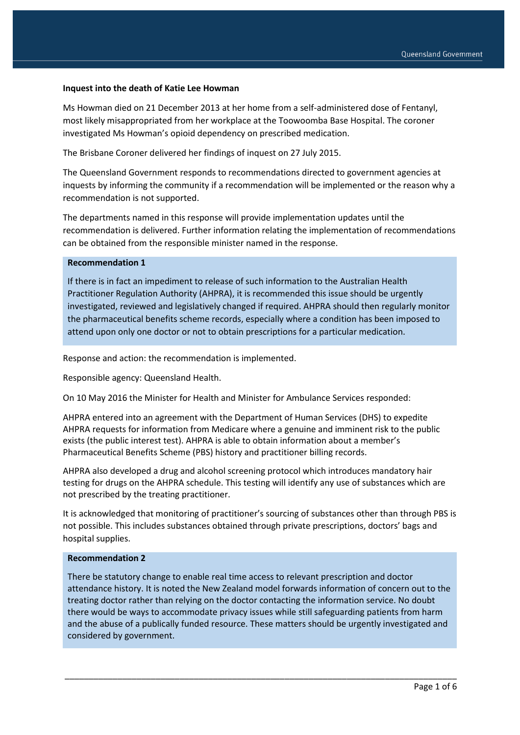### **Inquest into the death of Katie Lee Howman**

Ms Howman died on 21 December 2013 at her home from a self-administered dose of Fentanyl, most likely misappropriated from her workplace at the Toowoomba Base Hospital. The coroner investigated Ms Howman's opioid dependency on prescribed medication.

The Brisbane Coroner delivered her findings of inquest on 27 July 2015.

The Queensland Government responds to recommendations directed to government agencies at inquests by informing the community if a recommendation will be implemented or the reason why a recommendation is not supported.

The departments named in this response will provide implementation updates until the recommendation is delivered. Further information relating the implementation of recommendations can be obtained from the responsible minister named in the response.

# **Recommendation 1**

If there is in fact an impediment to release of such information to the Australian Health Practitioner Regulation Authority (AHPRA), it is recommended this issue should be urgently investigated, reviewed and legislatively changed if required. AHPRA should then regularly monitor the pharmaceutical benefits scheme records, especially where a condition has been imposed to attend upon only one doctor or not to obtain prescriptions for a particular medication.

Response and action: the recommendation is implemented.

Responsible agency: Queensland Health.

On 10 May 2016 the Minister for Health and Minister for Ambulance Services responded:

AHPRA entered into an agreement with the Department of Human Services (DHS) to expedite AHPRA requests for information from Medicare where a genuine and imminent risk to the public exists (the public interest test). AHPRA is able to obtain information about a member's Pharmaceutical Benefits Scheme (PBS) history and practitioner billing records.

AHPRA also developed a drug and alcohol screening protocol which introduces mandatory hair testing for drugs on the AHPRA schedule. This testing will identify any use of substances which are not prescribed by the treating practitioner.

It is acknowledged that monitoring of practitioner's sourcing of substances other than through PBS is not possible. This includes substances obtained through private prescriptions, doctors' bags and hospital supplies.

### **Recommendation 2**

There be statutory change to enable real time access to relevant prescription and doctor attendance history. It is noted the New Zealand model forwards information of concern out to the treating doctor rather than relying on the doctor contacting the information service. No doubt there would be ways to accommodate privacy issues while still safeguarding patients from harm and the abuse of a publically funded resource. These matters should be urgently investigated and considered by government.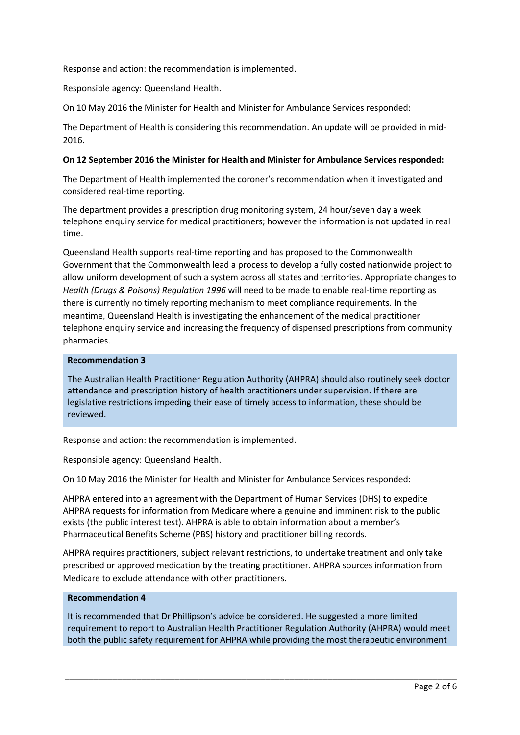Response and action: the recommendation is implemented.

Responsible agency: Queensland Health.

On 10 May 2016 the Minister for Health and Minister for Ambulance Services responded:

The Department of Health is considering this recommendation. An update will be provided in mid-2016.

## **On 12 September 2016 the Minister for Health and Minister for Ambulance Services responded:**

The Department of Health implemented the coroner's recommendation when it investigated and considered real-time reporting.

The department provides a prescription drug monitoring system, 24 hour/seven day a week telephone enquiry service for medical practitioners; however the information is not updated in real time.

Queensland Health supports real-time reporting and has proposed to the Commonwealth Government that the Commonwealth lead a process to develop a fully costed nationwide project to allow uniform development of such a system across all states and territories. Appropriate changes to *Health (Drugs & Poisons) Regulation 1996* will need to be made to enable real-time reporting as there is currently no timely reporting mechanism to meet compliance requirements. In the meantime, Queensland Health is investigating the enhancement of the medical practitioner telephone enquiry service and increasing the frequency of dispensed prescriptions from community pharmacies.

# **Recommendation 3**

The Australian Health Practitioner Regulation Authority (AHPRA) should also routinely seek doctor attendance and prescription history of health practitioners under supervision. If there are legislative restrictions impeding their ease of timely access to information, these should be reviewed.

Response and action: the recommendation is implemented.

Responsible agency: Queensland Health.

On 10 May 2016 the Minister for Health and Minister for Ambulance Services responded:

AHPRA entered into an agreement with the Department of Human Services (DHS) to expedite AHPRA requests for information from Medicare where a genuine and imminent risk to the public exists (the public interest test). AHPRA is able to obtain information about a member's Pharmaceutical Benefits Scheme (PBS) history and practitioner billing records.

AHPRA requires practitioners, subject relevant restrictions, to undertake treatment and only take prescribed or approved medication by the treating practitioner. AHPRA sources information from Medicare to exclude attendance with other practitioners.

### **Recommendation 4**

It is recommended that Dr Phillipson's advice be considered. He suggested a more limited requirement to report to Australian Health Practitioner Regulation Authority (AHPRA) would meet both the public safety requirement for AHPRA while providing the most therapeutic environment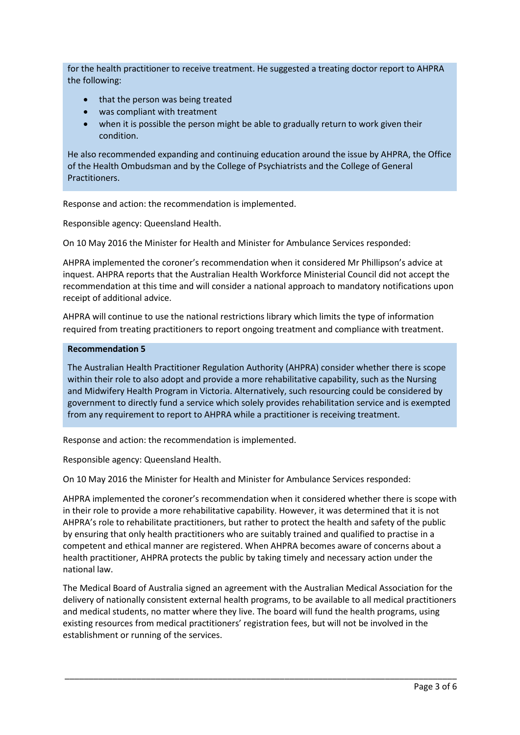for the health practitioner to receive treatment. He suggested a treating doctor report to AHPRA the following:

- that the person was being treated
- was compliant with treatment
- when it is possible the person might be able to gradually return to work given their condition.

He also recommended expanding and continuing education around the issue by AHPRA, the Office of the Health Ombudsman and by the College of Psychiatrists and the College of General Practitioners.

Response and action: the recommendation is implemented.

Responsible agency: Queensland Health.

On 10 May 2016 the Minister for Health and Minister for Ambulance Services responded:

AHPRA implemented the coroner's recommendation when it considered Mr Phillipson's advice at inquest. AHPRA reports that the Australian Health Workforce Ministerial Council did not accept the recommendation at this time and will consider a national approach to mandatory notifications upon receipt of additional advice.

AHPRA will continue to use the national restrictions library which limits the type of information required from treating practitioners to report ongoing treatment and compliance with treatment.

### **Recommendation 5**

The Australian Health Practitioner Regulation Authority (AHPRA) consider whether there is scope within their role to also adopt and provide a more rehabilitative capability, such as the Nursing and Midwifery Health Program in Victoria. Alternatively, such resourcing could be considered by government to directly fund a service which solely provides rehabilitation service and is exempted from any requirement to report to AHPRA while a practitioner is receiving treatment.

Response and action: the recommendation is implemented.

Responsible agency: Queensland Health.

On 10 May 2016 the Minister for Health and Minister for Ambulance Services responded:

AHPRA implemented the coroner's recommendation when it considered whether there is scope with in their role to provide a more rehabilitative capability. However, it was determined that it is not AHPRA's role to rehabilitate practitioners, but rather to protect the health and safety of the public by ensuring that only health practitioners who are suitably trained and qualified to practise in a competent and ethical manner are registered. When AHPRA becomes aware of concerns about a health practitioner, AHPRA protects the public by taking timely and necessary action under the national law.

The Medical Board of Australia signed an agreement with the Australian Medical Association for the delivery of nationally consistent external health programs, to be available to all medical practitioners and medical students, no matter where they live. The board will fund the health programs, using existing resources from medical practitioners' registration fees, but will not be involved in the establishment or running of the services.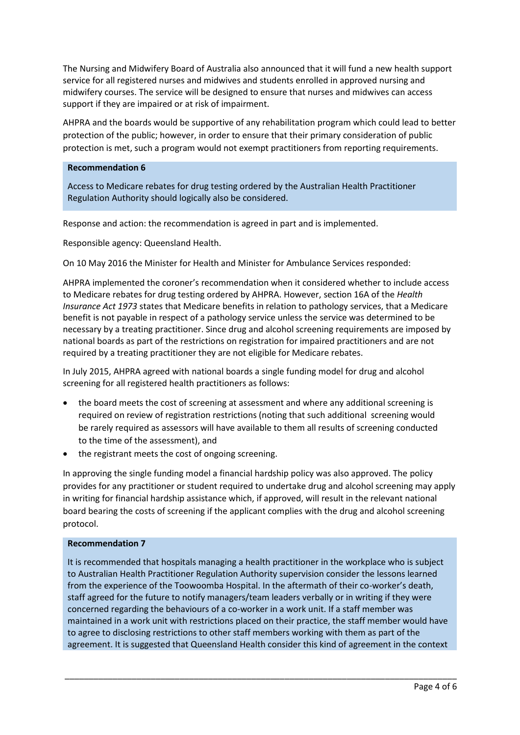The Nursing and Midwifery Board of Australia also announced that it will fund a new health support service for all registered nurses and midwives and students enrolled in approved nursing and midwifery courses. The service will be designed to ensure that nurses and midwives can access support if they are impaired or at risk of impairment.

AHPRA and the boards would be supportive of any rehabilitation program which could lead to better protection of the public; however, in order to ensure that their primary consideration of public protection is met, such a program would not exempt practitioners from reporting requirements.

### **Recommendation 6**

Access to Medicare rebates for drug testing ordered by the Australian Health Practitioner Regulation Authority should logically also be considered.

Response and action: the recommendation is agreed in part and is implemented.

Responsible agency: Queensland Health.

On 10 May 2016 the Minister for Health and Minister for Ambulance Services responded:

AHPRA implemented the coroner's recommendation when it considered whether to include access to Medicare rebates for drug testing ordered by AHPRA. However, section 16A of the *Health Insurance Act 1973* states that Medicare benefits in relation to pathology services, that a Medicare benefit is not payable in respect of a pathology service unless the service was determined to be necessary by a treating practitioner. Since drug and alcohol screening requirements are imposed by national boards as part of the restrictions on registration for impaired practitioners and are not required by a treating practitioner they are not eligible for Medicare rebates.

In July 2015, AHPRA agreed with national boards a single funding model for drug and alcohol screening for all registered health practitioners as follows:

- the board meets the cost of screening at assessment and where any additional screening is required on review of registration restrictions (noting that such additional screening would be rarely required as assessors will have available to them all results of screening conducted to the time of the assessment), and
- the registrant meets the cost of ongoing screening.

In approving the single funding model a financial hardship policy was also approved. The policy provides for any practitioner or student required to undertake drug and alcohol screening may apply in writing for financial hardship assistance which, if approved, will result in the relevant national board bearing the costs of screening if the applicant complies with the drug and alcohol screening protocol.

#### **Recommendation 7**

It is recommended that hospitals managing a health practitioner in the workplace who is subject to Australian Health Practitioner Regulation Authority supervision consider the lessons learned from the experience of the Toowoomba Hospital. In the aftermath of their co-worker's death, staff agreed for the future to notify managers/team leaders verbally or in writing if they were concerned regarding the behaviours of a co-worker in a work unit. If a staff member was maintained in a work unit with restrictions placed on their practice, the staff member would have to agree to disclosing restrictions to other staff members working with them as part of the agreement. It is suggested that Queensland Health consider this kind of agreement in the context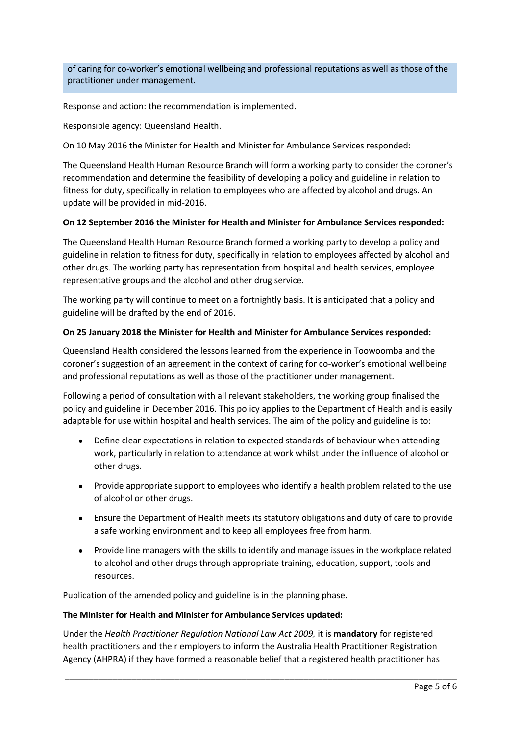of caring for co-worker's emotional wellbeing and professional reputations as well as those of the practitioner under management.

Response and action: the recommendation is implemented.

Responsible agency: Queensland Health.

On 10 May 2016 the Minister for Health and Minister for Ambulance Services responded:

The Queensland Health Human Resource Branch will form a working party to consider the coroner's recommendation and determine the feasibility of developing a policy and guideline in relation to fitness for duty, specifically in relation to employees who are affected by alcohol and drugs. An update will be provided in mid-2016.

# **On 12 September 2016 the Minister for Health and Minister for Ambulance Services responded:**

The Queensland Health Human Resource Branch formed a working party to develop a policy and guideline in relation to fitness for duty, specifically in relation to employees affected by alcohol and other drugs. The working party has representation from hospital and health services, employee representative groups and the alcohol and other drug service.

The working party will continue to meet on a fortnightly basis. It is anticipated that a policy and guideline will be drafted by the end of 2016.

# **On 25 January 2018 the Minister for Health and Minister for Ambulance Services responded:**

Queensland Health considered the lessons learned from the experience in Toowoomba and the coroner's suggestion of an agreement in the context of caring for co-worker's emotional wellbeing and professional reputations as well as those of the practitioner under management.

Following a period of consultation with all relevant stakeholders, the working group finalised the policy and guideline in December 2016. This policy applies to the Department of Health and is easily adaptable for use within hospital and health services. The aim of the policy and guideline is to:

- Define clear expectations in relation to expected standards of behaviour when attending work, particularly in relation to attendance at work whilst under the influence of alcohol or other drugs.
- Provide appropriate support to employees who identify a health problem related to the use of alcohol or other drugs.
- Ensure the Department of Health meets its statutory obligations and duty of care to provide a safe working environment and to keep all employees free from harm.
- Provide line managers with the skills to identify and manage issues in the workplace related to alcohol and other drugs through appropriate training, education, support, tools and resources.

Publication of the amended policy and guideline is in the planning phase.

### **The Minister for Health and Minister for Ambulance Services updated:**

Under the *Health Practitioner Regulation National Law Act 2009,* it is **mandatory** for registered health practitioners and their employers to inform the Australia Health Practitioner Registration Agency (AHPRA) if they have formed a reasonable belief that a registered health practitioner has